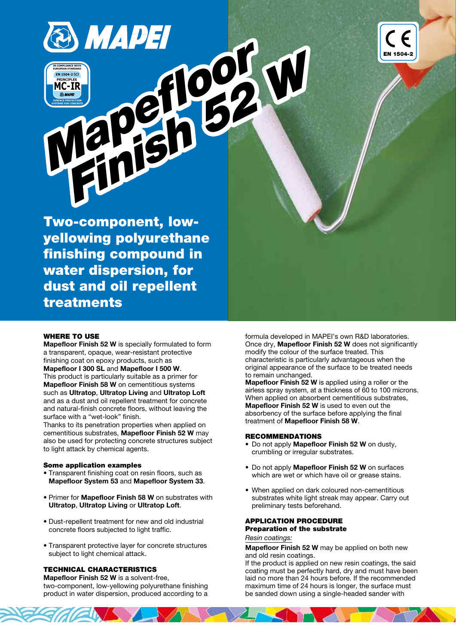

Two-component, lowyellowing polyurethane finishing compound in water dispersion, for dust and oil repellent treatments

## WHERE TO USE

Mapefloor Finish 52 W is specially formulated to form a transparent, opaque, wear-resistant protective finishing coat on epoxy products, such as Mapefloor I 300 SL and Mapefloor I 500 W. This product is particularly suitable as a primer for Mapefloor Finish 58 W on cementitious systems such as Ultratop, Ultratop Living and Ultratop Loft and as a dust and oil repellent treatment for concrete and natural-finish concrete floors, without leaving the surface with a "wet-look" finish.

Thanks to its penetration properties when applied on cementitious substrates, Mapefloor Finish 52 W may also be used for protecting concrete structures subject to light attack by chemical agents.

#### Some application examples

- Transparent finishing coat on resin floors, such as Mapefloor System 53 and Mapefloor System 33.
- Primer for Mapefloor Finish 58 W on substrates with Ultratop, Ultratop Living or Ultratop Loft.
- Dust-repellent treatment for new and old industrial concrete floors subjected to light traffic.
- Transparent protective layer for concrete structures subject to light chemical attack.

## TECHNICAL CHARACTERISTICS

Mapefloor Finish 52 W is a solvent-free, two-component, low-yellowing polyurethane finishing product in water dispersion, produced according to a formula developed in MAPEI's own R&D laboratories. Once dry, Mapefloor Finish 52 W does not significantly modify the colour of the surface treated. This characteristic is particularly advantageous when the original appearance of the surface to be treated needs to remain unchanged.

EN 1504-2

Mapefloor Finish 52 W is applied using a roller or the airless spray system, at a thickness of 60 to 100 microns. When applied on absorbent cementitious substrates, Mapefloor Finish 52 W is used to even out the absorbency of the surface before applying the final treatment of Mapefloor Finish 58 W.

## RECOMMENDATIONS

- Do not apply Mapefloor Finish 52 W on dusty, crumbling or irregular substrates.
- Do not apply Mapefloor Finish 52 W on surfaces which are wet or which have oil or grease stains.
- When applied on dark coloured non-cementitious substrates white light streak may appear. Carry out preliminary tests beforehand.

# APPLICATION PROCEDURE Preparation of the substrate

Resin coatings:

Mapefloor Finish 52 W may be applied on both new and old resin coatings.

If the product is applied on new resin coatings, the said coating must be perfectly hard, dry and must have been laid no more than 24 hours before. If the recommended maximum time of 24 hours is longer, the surface must be sanded down using a single-headed sander with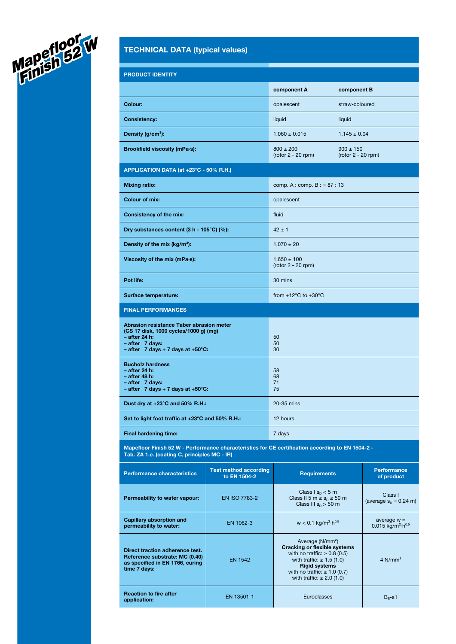

# TECHNICAL DATA (typical values)

| <b>PRODUCT IDENTITY</b>                                                                                                                                                 |                                              |                                                                                                                                                                                                                                           |                                                                     |  |
|-------------------------------------------------------------------------------------------------------------------------------------------------------------------------|----------------------------------------------|-------------------------------------------------------------------------------------------------------------------------------------------------------------------------------------------------------------------------------------------|---------------------------------------------------------------------|--|
|                                                                                                                                                                         |                                              | component A                                                                                                                                                                                                                               | component B                                                         |  |
| Colour:                                                                                                                                                                 |                                              | opalescent                                                                                                                                                                                                                                | straw-coloured                                                      |  |
| <b>Consistency:</b>                                                                                                                                                     |                                              | liquid                                                                                                                                                                                                                                    | liquid                                                              |  |
| Density $(g/cm^3)$ :                                                                                                                                                    |                                              | $1.060 \pm 0.015$                                                                                                                                                                                                                         | $1.145 \pm 0.04$                                                    |  |
| Brookfield viscosity (mPa-s):                                                                                                                                           |                                              | $800 \pm 200$<br>$(root 2 - 20 rpm)$                                                                                                                                                                                                      | $900 \pm 150$<br>$(root 2 - 20$ rpm)                                |  |
| APPLICATION DATA (at +23°C - 50% R.H.)                                                                                                                                  |                                              |                                                                                                                                                                                                                                           |                                                                     |  |
| <b>Mixing ratio:</b>                                                                                                                                                    |                                              | comp. A : comp. B : = $87:13$                                                                                                                                                                                                             |                                                                     |  |
| <b>Colour of mix:</b>                                                                                                                                                   |                                              | opalescent                                                                                                                                                                                                                                |                                                                     |  |
| <b>Consistency of the mix:</b>                                                                                                                                          |                                              | fluid                                                                                                                                                                                                                                     |                                                                     |  |
| Dry substances content (3 h - 105°C) (%):                                                                                                                               |                                              | $42 \pm 1$                                                                                                                                                                                                                                |                                                                     |  |
| Density of the mix (kg/m <sup>3</sup> ):                                                                                                                                |                                              | $1,070 \pm 20$                                                                                                                                                                                                                            |                                                                     |  |
| Viscosity of the mix (mPa-s):                                                                                                                                           |                                              | $1.650 \pm 100$<br>$(root 2 - 20 rpm)$                                                                                                                                                                                                    |                                                                     |  |
| Pot life:                                                                                                                                                               |                                              | 30 mins                                                                                                                                                                                                                                   |                                                                     |  |
| Surface temperature:                                                                                                                                                    |                                              | from $+12^{\circ}$ C to $+30^{\circ}$ C                                                                                                                                                                                                   |                                                                     |  |
| <b>FINAL PERFORMANCES</b>                                                                                                                                               |                                              |                                                                                                                                                                                                                                           |                                                                     |  |
| Abrasion resistance Taber abrasion meter<br>(CS 17 disk, 1000 cycles/1000 g) (mg)<br>– after 24 h:<br>- after 7 days:<br>$-$ after 7 days + 7 days at +50 $^{\circ}$ C: |                                              | 50<br>50<br>30                                                                                                                                                                                                                            |                                                                     |  |
| <b>Bucholz hardness</b><br>$-$ after 24 h:<br>- after 48 h:<br>- after 7 days:<br>$-$ after 7 days + 7 days at +50 $^{\circ}$ C:                                        |                                              | 58<br>68<br>71<br>75                                                                                                                                                                                                                      |                                                                     |  |
| Dust dry at $+23^{\circ}$ C and 50% R.H.:                                                                                                                               |                                              | 20-35 mins                                                                                                                                                                                                                                |                                                                     |  |
| Set to light foot traffic at +23°C and 50% R.H.:                                                                                                                        |                                              | 12 hours                                                                                                                                                                                                                                  |                                                                     |  |
| <b>Final hardening time:</b>                                                                                                                                            |                                              | 7 days                                                                                                                                                                                                                                    |                                                                     |  |
| Mapefloor Finish 52 W - Performance characteristics for CE certification according to EN 1504-2 -<br>Tab. ZA 1.e. (coating C, principles MC - IR)                       |                                              |                                                                                                                                                                                                                                           |                                                                     |  |
| <b>Performance characteristics</b>                                                                                                                                      | <b>Test method according</b><br>to EN 1504-2 | <b>Requirements</b>                                                                                                                                                                                                                       | <b>Performance</b><br>of product                                    |  |
| Permeability to water vapour:                                                                                                                                           | EN ISO 7783-2                                | Class $1 s_n < 5 m$<br>Class II 5 m $\leq$ s <sub>D</sub> $\leq$ 50 m<br>Class III $s_n > 50$ m                                                                                                                                           | Class I<br>(average $s_p = 0.24$ m)                                 |  |
| <b>Capillary absorption and</b><br>permeability to water:                                                                                                               | EN 1062-3                                    | $w < 0.1$ kg/m <sup>2</sup> $\cdot$ h <sup>0.5</sup>                                                                                                                                                                                      | average $w =$<br>$0.015$ kg/m <sup>2</sup> $\cdot$ h <sup>0.5</sup> |  |
| Direct traction adherence test.<br>Reference substrate: MC (0.40)<br>as specified in EN 1766, curing<br>time 7 days:                                                    | <b>EN 1542</b>                               | Average (N/mm <sup>2</sup> )<br><b>Cracking or flexible systems</b><br>with no traffic: $\geq 0.8$ (0.5)<br>with traffic: $\geq 1.5$ (1.0)<br><b>Rigid systems</b><br>with no traffic: $\geq 1.0$ (0.7)<br>with traffic: $\geq 2.0$ (1.0) | $4$ N/mm <sup>2</sup>                                               |  |
| <b>Reaction to fire after</b><br>application:                                                                                                                           | EN 13501-1                                   | Euroclasses                                                                                                                                                                                                                               | $B_{fl}$ -s1                                                        |  |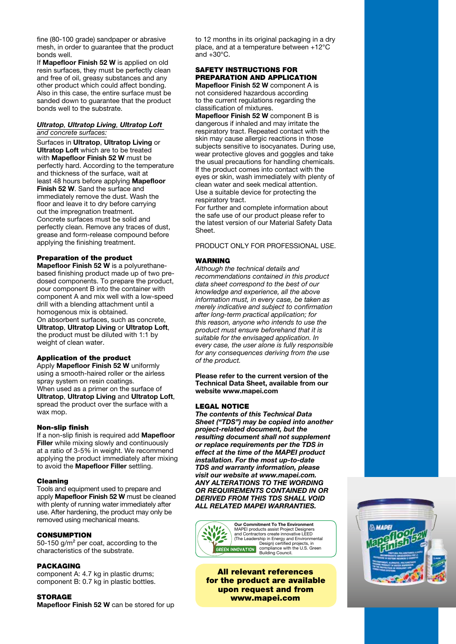fine (80-100 grade) sandpaper or abrasive mesh, in order to guarantee that the product bonds well.

If Mapefloor Finish 52 W is applied on old resin surfaces, they must be perfectly clean and free of oil, greasy substances and any other product which could affect bonding. Also in this case, the entire surface must be sanded down to quarantee that the product bonds well to the substrate.

#### Ultratop, Ultratop Living, Ultratop Loft and concrete surfaces:

Surfaces in Ultratop, Ultratop Living or Ultratop Loft which are to be treated with Mapefloor Finish 52 W must be perfectly hard. According to the temperature and thickness of the surface, wait at least 48 hours before applying Mapefloor Finish 52 W. Sand the surface and immediately remove the dust. Wash the floor and leave it to dry before carrying out the impregnation treatment. Concrete surfaces must be solid and perfectly clean. Remove any traces of dust, grease and form-release compound before applying the finishing treatment.

## Preparation of the product

Mapefloor Finish 52 W is a polyurethanebased finishing product made up of two predosed components. To prepare the product, pour component B into the container with component A and mix well with a low-speed drill with a blending attachment until a homogenous mix is obtained. On absorbent surfaces, such as concrete,

Ultratop, Ultratop Living or Ultratop Loft, the product must be diluted with 1:1 by weight of clean water.

## Application of the product

Apply Mapefloor Finish 52 W uniformly using a smooth-haired roller or the airless spray system on resin coatings. When used as a primer on the surface of Ultratop, Ultratop Living and Ultratop Loft, spread the product over the surface with a wax mop.

#### Non-slip finish

If a non-slip finish is required add Mapefloor Filler while mixing slowly and continuously at a ratio of 3-5% in weight. We recommend applying the product immediately after mixing to avoid the Mapefloor Filler settling.

#### Cleaning

Tools and equipment used to prepare and apply Mapefloor Finish 52 W must be cleaned with plenty of running water immediately after use. After hardening, the product may only be removed using mechanical means.

#### CONSUMPTION

50-150 g/m² per coat, according to the characteristics of the substrate.

#### PACKAGING

component A: 4.7 kg in plastic drums; component B: 0.7 kg in plastic bottles.

**STORAGE** Mapefloor Finish 52 W can be stored for up to 12 months in its original packaging in a dry place, and at a temperature between +12°C and  $+30^{\circ}$ C.

## SAFETY INSTRUCTIONS FOR PREPARATION AND APPLICATION

Mapefloor Finish 52 W component A is not considered hazardous according to the current regulations regarding the classification of mixtures.

Mapefloor Finish 52 W component B is dangerous if inhaled and may irritate the respiratory tract. Repeated contact with the skin may cause allergic reactions in those subjects sensitive to isocyanates. During use, wear protective gloves and goggles and take the usual precautions for handling chemicals. If the product comes into contact with the eyes or skin, wash immediately with plenty of clean water and seek medical attention. Use a suitable device for protecting the respiratory tract.

For further and complete information about the safe use of our product please refer to the latest version of our Material Safety Data Sheet.

#### PRODUCT ONLY FOR PROFESSIONAL USE.

## WARNING

Although the technical details and recommendations contained in this product data sheet correspond to the best of our knowledge and experience, all the above information must, in every case, be taken as merely indicative and subject to confirmation after long-term practical application; for this reason, anyone who intends to use the product must ensure beforehand that it is suitable for the envisaged application. In every case, the user alone is fully responsible for any consequences deriving from the use of the product.

Please refer to the current version of the Technical Data Sheet, available from our website www.mapei.com

## LEGAL NOTICE

The contents of this Technical Data Sheet ("TDS") may be copied into another project-related document, but the resulting document shall not supplement or replace requirements per the TDS in effect at the time of the MAPEI product installation. For the most up-to-date TDS and warranty information, please visit our website at www.mapei.com. ANY ALTERATIONS TO THE WORDING OR REQUIREMENTS CONTAINED IN OR DERIVED FROM THIS TDS SHALL VOID ALL RELATED MAPEI WARRANTIES.



All relevant references for the product are available upon request and from www.mapei.com